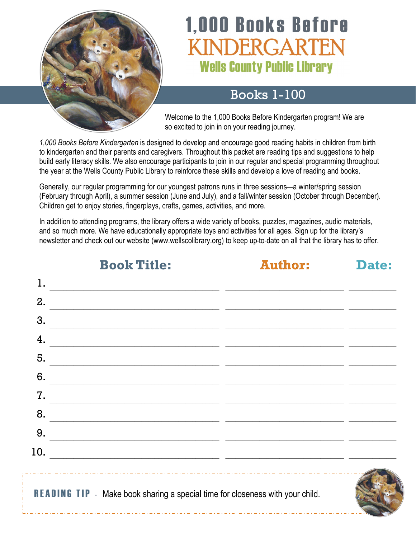

# **1,000 Books Before** KINDERGARTEN **Wells County Public Library**

## Books 1-100

Welcome to the 1,000 Books Before Kindergarten program! We are so excited to join in on your reading journey.

*1,000 Books Before Kindergarten* is designed to develop and encourage good reading habits in children from birth to kindergarten and their parents and caregivers. Throughout this packet are reading tips and suggestions to help build early literacy skills. We also encourage participants to join in our regular and special programming throughout the year at the Wells County Public Library to reinforce these skills and develop a love of reading and books.

Generally, our regular programming for our youngest patrons runs in three sessions—a winter/spring session (February through April), a summer session (June and July), and a fall/winter session (October through December). Children get to enjoy stories, fingerplays, crafts, games, activities, and more.

In addition to attending programs, the library offers a wide variety of books, puzzles, magazines, audio materials, and so much more. We have educationally appropriate toys and activities for all ages. Sign up for the library's newsletter and check out our website (www.wellscolibrary.org) to keep up-to-date on all that the library has to offer.

| 1.  |                                                                                                                      |  |
|-----|----------------------------------------------------------------------------------------------------------------------|--|
| 2.  |                                                                                                                      |  |
| 3.  | <u> 1980 - Jan Stein Stein Stein Stein Stein Stein Stein Stein Stein Stein Stein Stein Stein Stein Stein Stein S</u> |  |
| 4.  |                                                                                                                      |  |
| 5.  |                                                                                                                      |  |
| 6.  |                                                                                                                      |  |
| 7.  |                                                                                                                      |  |
| 8.  |                                                                                                                      |  |
| 9.  |                                                                                                                      |  |
| 10. | <u> 1990 - Jan Barristo, martin da basar da basar da basar da basar da basar da basar da basar da basar da basar</u> |  |
|     | <b>READING TIP</b> - Make book sharing a special time for closeness with your child.                                 |  |

# **Book Title: Author: Date:**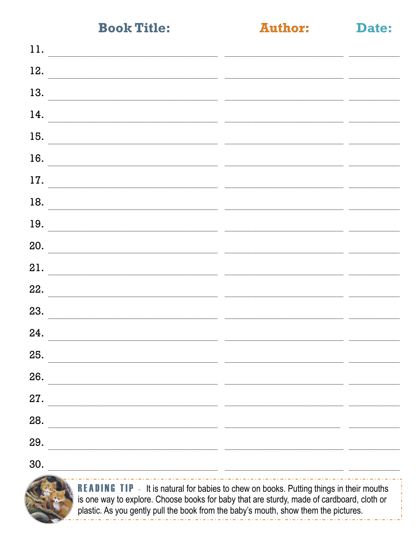## **Author:**

Date:

| 11.                                                            |  |
|----------------------------------------------------------------|--|
| 12.                                                            |  |
| 13.                                                            |  |
| 14.                                                            |  |
| 15.                                                            |  |
| 16.<br><u> 1989 - Johann Barbara, martin amerikan basar da</u> |  |
| 17.                                                            |  |
| 18.                                                            |  |
| 19.                                                            |  |
| 20.                                                            |  |
| 21.                                                            |  |
| 22.                                                            |  |
| 23.                                                            |  |
| 24.                                                            |  |
| 25.                                                            |  |
| 26.                                                            |  |
| 27.                                                            |  |
| 28.                                                            |  |
| 29.<br><u> 1980 - John Stone, Amerikaansk politiker (</u>      |  |
|                                                                |  |

30.



**READING TIP** - It is natural for babies to chew on books. Putting things in their mouths is one way to explore. Choose books for baby that are sturdy, made of cardboard, cloth or plastic. As you gently pull the book from the baby's mouth, show them the pictures.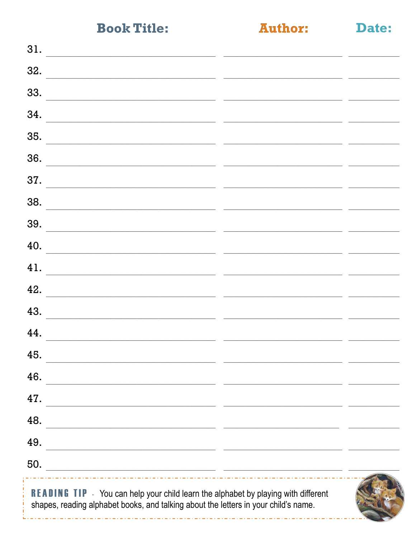| 31.                                                              |  |
|------------------------------------------------------------------|--|
| 32.                                                              |  |
| 33.                                                              |  |
| 34.                                                              |  |
| 35.                                                              |  |
| 36.                                                              |  |
| 37.                                                              |  |
| 38.                                                              |  |
| 39.                                                              |  |
| 40.                                                              |  |
| 41.                                                              |  |
| 42.                                                              |  |
| 43.                                                              |  |
| 44.                                                              |  |
| 45.                                                              |  |
| 46.<br><u> 1980 - Johann Stein, marwolaethau (b. 1980)</u>       |  |
| 47.                                                              |  |
| 48.                                                              |  |
| 49.                                                              |  |
| 50.<br><u> 1989 - John Stein, Amerikaansk politiker (* 1989)</u> |  |
|                                                                  |  |

**READING TIP** - You can help your child learn the alphabet by playing with different shapes, reading alphabet books, and talking about the letters in your child's name.

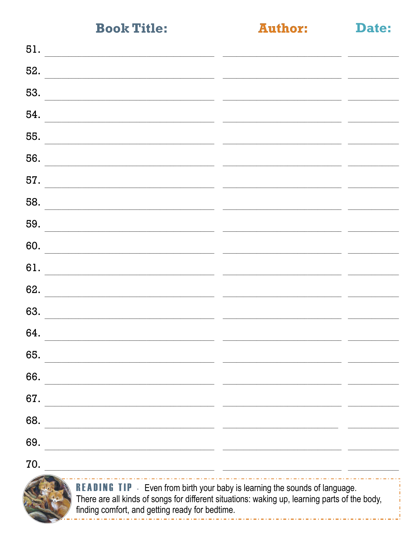Date:

| 51.                                                        |                                                                                                                                                                                                                                                                                                                          |  |
|------------------------------------------------------------|--------------------------------------------------------------------------------------------------------------------------------------------------------------------------------------------------------------------------------------------------------------------------------------------------------------------------|--|
| 52.                                                        |                                                                                                                                                                                                                                                                                                                          |  |
| 53.                                                        |                                                                                                                                                                                                                                                                                                                          |  |
| 54.                                                        |                                                                                                                                                                                                                                                                                                                          |  |
| 55.                                                        |                                                                                                                                                                                                                                                                                                                          |  |
| 56.                                                        |                                                                                                                                                                                                                                                                                                                          |  |
| 57.                                                        |                                                                                                                                                                                                                                                                                                                          |  |
| 58.                                                        |                                                                                                                                                                                                                                                                                                                          |  |
| 59.                                                        |                                                                                                                                                                                                                                                                                                                          |  |
| 60.                                                        |                                                                                                                                                                                                                                                                                                                          |  |
| 61.                                                        |                                                                                                                                                                                                                                                                                                                          |  |
| 62.                                                        |                                                                                                                                                                                                                                                                                                                          |  |
| 63.                                                        |                                                                                                                                                                                                                                                                                                                          |  |
| 64.                                                        |                                                                                                                                                                                                                                                                                                                          |  |
| 65.                                                        |                                                                                                                                                                                                                                                                                                                          |  |
| 66.                                                        |                                                                                                                                                                                                                                                                                                                          |  |
| 67.                                                        |                                                                                                                                                                                                                                                                                                                          |  |
| 68.<br><u> 1989 - Johann Barbara, martxa alemaniar arg</u> |                                                                                                                                                                                                                                                                                                                          |  |
| 69.                                                        |                                                                                                                                                                                                                                                                                                                          |  |
| 70.                                                        | <u> 1989 - Johann Stein, mars and de format and de format and design and design and design and design and design </u>                                                                                                                                                                                                    |  |
|                                                            | $\mathbb{R}$ $\mathbb{R}$ $\mathbb{R}$ $\mathbb{R}$ $\mathbb{R}$ $\mathbb{R}$ $\mathbb{R}$ $\mathbb{R}$ be the set of $\mathbb{R}$ $\mathbb{R}$ $\mathbb{R}$ $\mathbb{R}$ $\mathbb{R}$ $\mathbb{R}$ $\mathbb{R}$ $\mathbb{R}$ $\mathbb{R}$ $\mathbb{R}$ $\mathbb{R}$ $\mathbb{R}$ $\mathbb{R}$ $\mathbb{R}$ $\mathbb{R}$ |  |



**READING TIP** - Even from birth your baby is learning the sounds of language.<br>There are all kinds of songs for different situations: waking up, learning parts of the body, finding comfort, and getting ready for bedtime.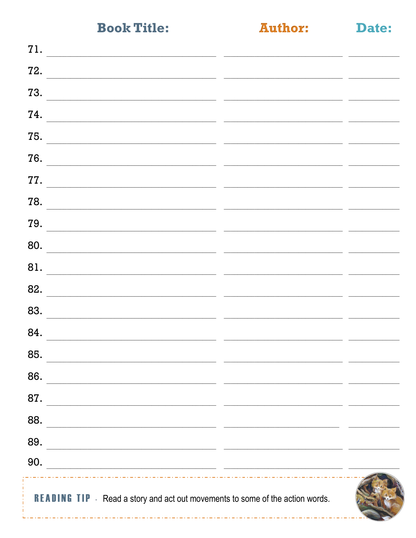| n | m |  |
|---|---|--|
|   |   |  |
|   |   |  |

Date:

| <b>READING TIP</b> - Read a story and act out movements to some of the action words.                                          |                                                                                                                       |  |
|-------------------------------------------------------------------------------------------------------------------------------|-----------------------------------------------------------------------------------------------------------------------|--|
| 90.<br><u> 1990 - Jan James James Barnett, amerikan basar (j. 1908)</u>                                                       |                                                                                                                       |  |
| 89.<br><u> 1989 - Johann John Stone, markin film yn y brening yn y brening yn y brening yn y brening yn y brening yn y b</u>  |                                                                                                                       |  |
| 88.                                                                                                                           |                                                                                                                       |  |
| 87.<br><u> 1989 - Johann John Stone, mars eta bainar eta baina eta baina eta baina eta baina eta baina eta baina eta bain</u> |                                                                                                                       |  |
| 86.                                                                                                                           |                                                                                                                       |  |
| 85.                                                                                                                           |                                                                                                                       |  |
| 84.                                                                                                                           |                                                                                                                       |  |
| 83.                                                                                                                           |                                                                                                                       |  |
| 82.                                                                                                                           |                                                                                                                       |  |
| 81.                                                                                                                           |                                                                                                                       |  |
| 80.                                                                                                                           |                                                                                                                       |  |
| 79.                                                                                                                           |                                                                                                                       |  |
| 78.                                                                                                                           |                                                                                                                       |  |
| 77.                                                                                                                           |                                                                                                                       |  |
| 76.                                                                                                                           |                                                                                                                       |  |
| 75.                                                                                                                           |                                                                                                                       |  |
| 74.                                                                                                                           |                                                                                                                       |  |
| 73.                                                                                                                           | <u> 1990 - Jacques Barbara, presidente e a contrador de la contrador de la contrador de la contrador de la contra</u> |  |
| 72.                                                                                                                           |                                                                                                                       |  |